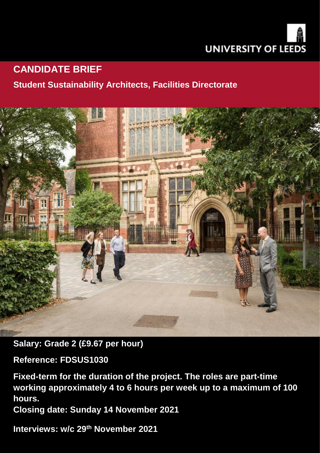

# **CANDIDATE BRIEF**

## **Student Sustainability Architects, Facilities Directorate**



**Salary: Grade 2 (£9.67 per hour)**

**Reference: FDSUS1030**

**Fixed-term for the duration of the project. The roles are part-time working approximately 4 to 6 hours per week up to a maximum of 100 hours.**

**Closing date: Sunday 14 November 2021** 

**Interviews: w/c 29th November 2021**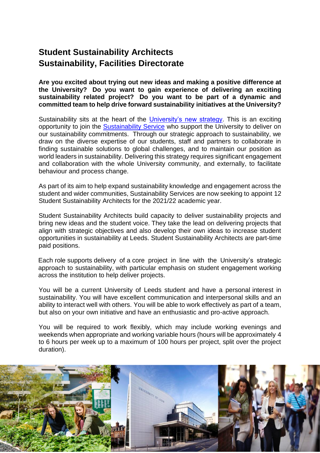## **Student Sustainability Architects Sustainability, Facilities Directorate**

**Are you excited about trying out new ideas and making a positive difference at the University? Do you want to gain experience of delivering an exciting sustainability related project? Do you want to be part of a dynamic and committed team to help drive forward sustainability initiatives at the University?**

Sustainability sits at the heart of the [University's new strategy.](https://spotlight.leeds.ac.uk/strategy/) This is an exciting opportunity to join the [Sustainability Service](https://sustainability.leeds.ac.uk/) who support the University to deliver on our sustainability commitments. Through our strategic approach to sustainability, we draw on the diverse expertise of our students, staff and partners to collaborate in finding sustainable solutions to global challenges, and to maintain our position as world leaders in sustainability. Delivering this strategy requires significant engagement and collaboration with the whole University community, and externally, to facilitate behaviour and process change.

As part of its aim to help expand sustainability knowledge and engagement across the student and wider communities, Sustainability Services are now seeking to appoint 12 Student Sustainability Architects for the 2021/22 academic year.

Student Sustainability Architects build capacity to deliver sustainability projects and bring new ideas and the student voice. They take the lead on delivering projects that align with strategic objectives and also develop their own ideas to increase student opportunities in sustainability at Leeds. Student Sustainability Architects are part-time paid positions.

Each role supports delivery of a core project in line with the University's strategic approach to sustainability, with particular emphasis on student engagement working across the institution to help deliver projects.

You will be a current University of Leeds student and have a personal interest in sustainability. You will have excellent communication and interpersonal skills and an ability to interact well with others. You will be able to work effectively as part of a team, but also on your own initiative and have an enthusiastic and pro-active approach.

You will be required to work flexibly, which may include working evenings and weekends when appropriate and working variable hours (hours will be approximately 4 to 6 hours per week up to a maximum of 100 hours per project, split over the project duration).

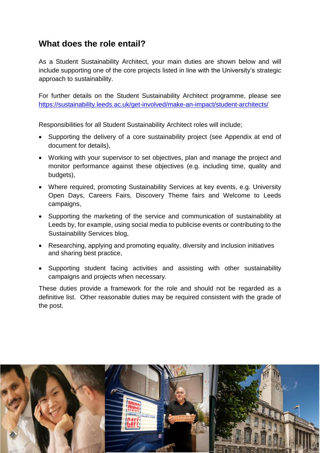## **What does the role entail?**

As a Student Sustainability Architect, your main duties are shown below and will include supporting one of the core projects listed in line with the University's strategic approach to sustainability.

For further details on the Student Sustainability Architect programme, please see <https://sustainability.leeds.ac.uk/get-involved/make-an-impact/student-architects/>

Responsibilities for all Student Sustainability Architect roles will include;

- Supporting the delivery of a core sustainability project (see Appendix at end of document for details),
- Working with your supervisor to set objectives, plan and manage the project and monitor performance against these objectives (e.g. including time, quality and budgets),
- Where required, promoting Sustainability Services at key events, e.g. University Open Days, Careers Fairs, Discovery Theme fairs and Welcome to Leeds campaigns,
- Supporting the marketing of the service and communication of sustainability at Leeds by, for example, using social media to publicise events or contributing to the Sustainability Services blog,
- Researching, applying and promoting equality, diversity and inclusion initiatives and sharing best practice,
- Supporting student facing activities and assisting with other sustainability campaigns and projects when necessary.

These duties provide a framework for the role and should not be regarded as a definitive list. Other reasonable duties may be required consistent with the grade of the post.

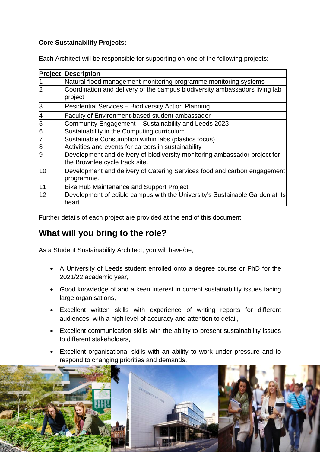## **Core Sustainability Projects:**

Each Architect will be responsible for supporting on one of the following projects:

| Project        | <b>Description</b>                                                                                           |
|----------------|--------------------------------------------------------------------------------------------------------------|
|                | Natural flood management monitoring programme monitoring systems                                             |
| $\overline{2}$ | Coordination and delivery of the campus biodiversity ambassadors living lab<br>project                       |
| 3              | <b>Residential Services - Biodiversity Action Planning</b>                                                   |
| 4              | <b>Faculty of Environment-based student ambassador</b>                                                       |
| 5              | Community Engagement - Sustainability and Leeds 2023                                                         |
| 6              | Sustainability in the Computing curriculum                                                                   |
| 7              | Sustainable Consumption within labs (plastics focus)                                                         |
| 8              | Activities and events for careers in sustainability                                                          |
| g              | Development and delivery of biodiversity monitoring ambassador project for<br>the Brownlee cycle track site. |
| 10             | Development and delivery of Catering Services food and carbon engagement<br>programme.                       |
| 11             | <b>Bike Hub Maintenance and Support Project</b>                                                              |
| 12             | Development of edible campus with the University's Sustainable Garden at its<br>heart                        |

Further details of each project are provided at the end of this document.

## **What will you bring to the role?**

As a Student Sustainability Architect, you will have/be;

- A University of Leeds student enrolled onto a degree course or PhD for the 2021/22 academic year,
- Good knowledge of and a keen interest in current sustainability issues facing large organisations,
- Excellent written skills with experience of writing reports for different audiences, with a high level of accuracy and attention to detail,
- Excellent communication skills with the ability to present sustainability issues to different stakeholders,
- Excellent organisational skills with an ability to work under pressure and to respond to changing priorities and demands,

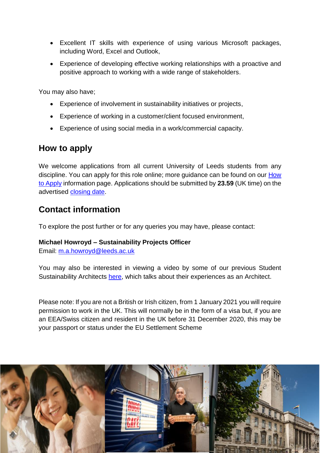- Excellent IT skills with experience of using various Microsoft packages, including Word, Excel and Outlook,
- Experience of developing effective working relationships with a proactive and positive approach to working with a wide range of stakeholders.

You may also have;

- Experience of involvement in sustainability initiatives or projects,
- Experience of working in a customer/client focused environment,
- Experience of using social media in a work/commercial capacity.

## **How to apply**

We welcome applications from all current University of Leeds students from any discipline. You can apply for this role online; more guidance can be found on our [How](https://jobs.leeds.ac.uk/display.aspx?id=1253&pid=0)  [to Apply](https://jobs.leeds.ac.uk/display.aspx?id=1253&pid=0) information page. Applications should be submitted by **23.59** (UK time) on the advertised [closing date.](http://jobs.leeds.ac.uk/FDSUS1022)

## **Contact information**

To explore the post further or for any queries you may have, please contact:

#### **Michael Howroyd – Sustainability Projects Officer**

Email: [m.a.howroyd@leeds.ac.uk](mailto:m.a.howroyd@leeds.ac.uk)

You may also be interested in viewing a video by some of our previous Student Sustainability Architects [here,](https://sustainability.leeds.ac.uk/student-sustainability-architects/) which talks about their experiences as an Architect.

Please note: If you are not a British or Irish citizen, from 1 January 2021 you will require permission to work in the UK. This will normally be in the form of a visa but, if you are an EEA/Swiss citizen and resident in the UK before 31 December 2020, this may be your passport or status under the EU Settlement Scheme

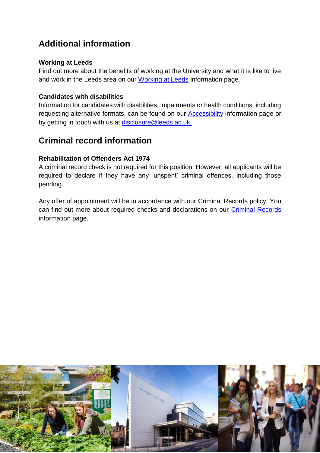## **Additional information**

### **Working at Leeds**

Find out more about the benefits of working at the University and what it is like to live and work in the Leeds area on our [Working at Leeds](https://jobs.leeds.ac.uk/display.aspx?id=1697&pid=0) information page.

### **Candidates with disabilities**

Information for candidates with disabilities, impairments or health conditions, including requesting alternative formats, can be found on our [Accessibility](https://jobs.leeds.ac.uk/display.aspx?id=1253&pid=0) information page or by getting in touch with us at [disclosure@leeds.ac.uk.](mailto:disclosure@leeds.ac.uk)

## **Criminal record information**

## **Rehabilitation of Offenders Act 1974**

A criminal record check is not required for this position. However, all applicants will be required to declare if they have any 'unspent' criminal offences, including those pending.

Any offer of appointment will be in accordance with our Criminal Records policy. You can find out more about required checks and declarations on our [Criminal Records](https://jobs.leeds.ac.uk/display.aspx?id=1711&pid=0) information page.

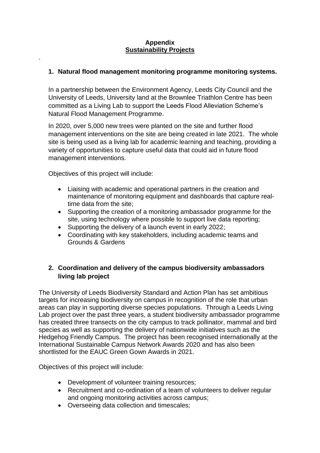#### **Appendix Sustainability Projects**

#### **1. Natural flood management monitoring programme monitoring systems.**

In a partnership between the Environment Agency, Leeds City Council and the University of Leeds, University land at the Brownlee Triathlon Centre has been committed as a Living Lab to support the Leeds Flood Alleviation Scheme's Natural Flood Management Programme.

In 2020, over 5,000 new trees were planted on the site and further flood management interventions on the site are being created in late 2021. The whole site is being used as a living lab for academic learning and teaching, providing a variety of opportunities to capture useful data that could aid in future flood management interventions.

Objectives of this project will include:

.

- Liaising with academic and operational partners in the creation and maintenance of monitoring equipment and dashboards that capture realtime data from the site;
- Supporting the creation of a monitoring ambassador programme for the site, using technology where possible to support live data reporting;
- Supporting the delivery of a launch event in early 2022:
- Coordinating with key stakeholders, including academic teams and Grounds & Gardens

## **2. Coordination and delivery of the campus biodiversity ambassadors living lab project**

The University of Leeds Biodiversity Standard and Action Plan has set ambitious targets for increasing biodiversity on campus in recognition of the role that urban areas can play in supporting diverse species populations. Through a Leeds Living Lab project over the past three years, a student biodiversity ambassador programme has created three transects on the city campus to track pollinator, mammal and bird species as well as supporting the delivery of nationwide initiatives such as the Hedgehog Friendly Campus. The project has been recognised internationally at the International Sustainable Campus Network Awards 2020 and has also been shortlisted for the EAUC Green Gown Awards in 2021.

Objectives of this project will include:

- Development of volunteer training resources:
- Recruitment and co-ordination of a team of volunteers to deliver regular and ongoing monitoring activities across campus;
- Overseeing data collection and timescales;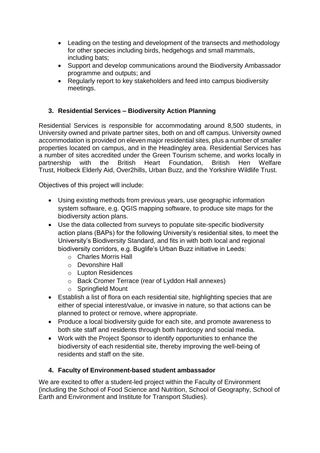- Leading on the testing and development of the transects and methodology for other species including birds, hedgehogs and small mammals, including bats;
- Support and develop communications around the Biodiversity Ambassador programme and outputs; and
- Regularly report to key stakeholders and feed into campus biodiversity meetings.

## **3. Residential Services – Biodiversity Action Planning**

Residential Services is responsible for accommodating around 8,500 students, in University owned and private partner sites, both on and off campus. University owned accommodation is provided on eleven major residential sites, plus a number of smaller properties located on campus, and in the Headingley area. Residential Services has a number of sites accredited under the Green Tourism scheme, and works locally in partnership with the British Heart Foundation, British Hen Welfare Trust, Holbeck Elderly Aid, Over2hills, Urban Buzz, and the Yorkshire Wildlife Trust.

Objectives of this project will include: 

- Using existing methods from previous years, use geographic information system software, e.g. QGIS mapping software, to produce site maps for the biodiversity action plans.
- Use the data collected from surveys to populate site-specific biodiversity action plans (BAPs) for the following University's residential sites, to meet the University's Biodiversity Standard, and fits in with both local and regional biodiversity corridors, e.g. Buglife's Urban Buzz initiative in Leeds:
	- o Charles Morris Hall
	- o Devonshire Hall
	- o Lupton Residences
	- o Back Cromer Terrace (rear of Lyddon Hall annexes)
	- o Springfield Mount
- Establish a list of flora on each residential site, highlighting species that are either of special interest/value, or invasive in nature, so that actions can be planned to protect or remove, where appropriate.
- Produce a local biodiversity quide for each site, and promote awareness to both site staff and residents through both hardcopy and social media.
- Work with the Project Sponsor to identify opportunities to enhance the biodiversity of each residential site, thereby improving the well-being of residents and staff on the site.

### **4. Faculty of Environment-based student ambassador**

We are excited to offer a student-led project within the Faculty of Environment (including the School of Food Science and Nutrition, School of Geography, School of Earth and Environment and Institute for Transport Studies).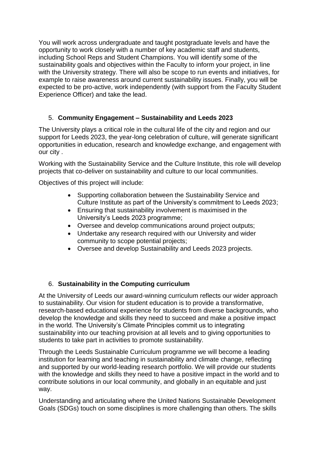You will work across undergraduate and taught postgraduate levels and have the opportunity to work closely with a number of key academic staff and students, including School Reps and Student Champions. You will identify some of the sustainability goals and objectives within the Faculty to inform your project, in line with the University strategy. There will also be scope to run events and initiatives, for example to raise awareness around current sustainability issues. Finally, you will be expected to be pro-active, work independently (with support from the Faculty Student Experience Officer) and take the lead.

## 5. **Community Engagement – Sustainability and Leeds 2023**

The University plays a critical role in the cultural life of the city and region and our support for Leeds 2023, the year-long celebration of culture, will generate significant opportunities in education, research and knowledge exchange, and engagement with our city .

Working with the Sustainability Service and the Culture Institute, this role will develop projects that co-deliver on sustainability and culture to our local communities.

Objectives of this project will include:

- Supporting collaboration between the Sustainability Service and Culture Institute as part of the University's commitment to Leeds 2023;
- Ensuring that sustainability involvement is maximised in the University's Leeds 2023 programme;
- Oversee and develop communications around project outputs;
- Undertake any research required with our University and wider community to scope potential projects;
- Oversee and develop Sustainability and Leeds 2023 projects.

### 6. **Sustainability in the Computing curriculum**

At the University of Leeds our award-winning curriculum reflects our wider approach to sustainability. Our vision for student education is to provide a transformative, research-based educational experience for students from diverse backgrounds, who develop the knowledge and skills they need to succeed and make a positive impact in the world. The University's Climate Principles commit us to integrating sustainability into our teaching provision at all levels and to giving opportunities to students to take part in activities to promote sustainability.

Through the Leeds Sustainable Curriculum programme we will become a leading institution for learning and teaching in sustainability and climate change, reflecting and supported by our world-leading research portfolio. We will provide our students with the knowledge and skills they need to have a positive impact in the world and to contribute solutions in our local community, and globally in an equitable and just way.

Understanding and articulating where the United Nations Sustainable Development Goals (SDGs) touch on some disciplines is more challenging than others. The skills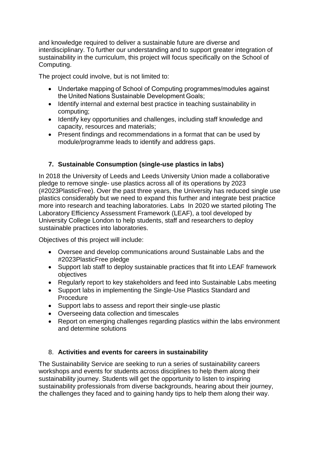and knowledge required to deliver a sustainable future are diverse and interdisciplinary. To further our understanding and to support greater integration of sustainability in the curriculum, this project will focus specifically on the School of Computing.

The project could involve, but is not limited to:

- Undertake mapping of School of Computing programmes/modules against the United Nations Sustainable Development Goals;
- Identify internal and external best practice in teaching sustainability in computing;
- Identify key opportunities and challenges, including staff knowledge and capacity, resources and materials;
- Present findings and recommendations in a format that can be used by module/programme leads to identify and address gaps.

## **7. Sustainable Consumption (single-use plastics in labs)**

In 2018 the University of Leeds and Leeds University Union made a collaborative pledge to remove single- use plastics across all of its operations by 2023 (#2023PlasticFree). Over the past three years, the University has reduced single use plastics considerably but we need to expand this further and integrate best practice more into research and teaching laboratories. Labs In 2020 we started piloting The Laboratory Efficiency Assessment Framework (LEAF), a tool developed by University College London to help students, staff and researchers to deploy sustainable practices into laboratories.

Objectives of this project will include:

- Oversee and develop communications around Sustainable Labs and the #2023PlasticFree pledge
- Support lab staff to deploy sustainable practices that fit into LEAF framework objectives
- Regularly report to key stakeholders and feed into Sustainable Labs meeting
- Support labs in implementing the Single-Use Plastics Standard and Procedure
- Support labs to assess and report their single-use plastic
- Overseeing data collection and timescales
- Report on emerging challenges regarding plastics within the labs environment and determine solutions

### 8. **Activities and events for careers in sustainability**

The Sustainability Service are seeking to run a series of sustainability careers workshops and events for students across disciplines to help them along their sustainability journey. Students will get the opportunity to listen to inspiring sustainability professionals from diverse backgrounds, hearing about their journey, the challenges they faced and to gaining handy tips to help them along their way.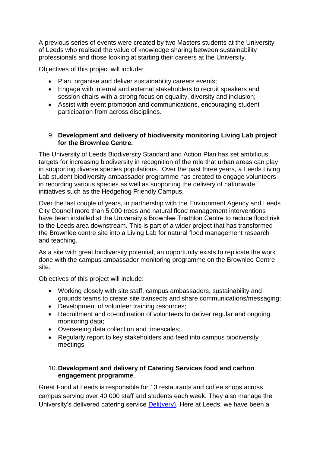A previous series of events were created by two Masters students at the University of Leeds who realised the value of knowledge sharing between sustainability professionals and those looking at starting their careers at the University.

Objectives of this project will include:

- Plan, organise and deliver sustainability careers events;
- Engage with internal and external stakeholders to recruit speakers and session chairs with a strong focus on equality, diversity and inclusion;
- Assist with event promotion and communications, encouraging student participation from across disciplines.

#### 9. **Development and delivery of biodiversity monitoring Living Lab project for the Brownlee Centre.**

The University of Leeds Biodiversity Standard and Action Plan has set ambitious targets for increasing biodiversity in recognition of the role that urban areas can play in supporting diverse species populations. Over the past three years, a Leeds Living Lab student biodiversity ambassador programme has created to engage volunteers in recording various species as well as supporting the delivery of nationwide initiatives such as the Hedgehog Friendly Campus.

Over the last couple of years, in partnership with the Environment Agency and Leeds City Council more than 5,000 trees and natural flood management interventions have been installed at the University's Brownlee Triathlon Centre to reduce flood risk to the Leeds area downstream. This is part of a wider project that has transformed the Brownlee centre site into a Living Lab for natural flood management research and teaching.

As a site with great biodiversity potential, an opportunity exists to replicate the work done with the campus ambassador monitoring programme on the Brownlee Centre site.

Objectives of this project will include:

- Working closely with site staff, campus ambassadors, sustainability and grounds teams to create site transects and share communications/messaging;
- Development of volunteer training resources;
- Recruitment and co-ordination of volunteers to deliver regular and ongoing monitoring data;
- Overseeing data collection and timescales;
- Regularly report to key stakeholders and feed into campus biodiversity meetings.

### 10.**Development and delivery of Catering Services food and carbon engagement programme**.

Great Food at Leeds is responsible for 13 restaurants and coffee shops across campus serving over 40,000 staff and students each week. They also manage the University's delivered catering service [Deli\(very\).](http://gfal.leeds.ac.uk/delivered-food/) Here at Leeds, we have been a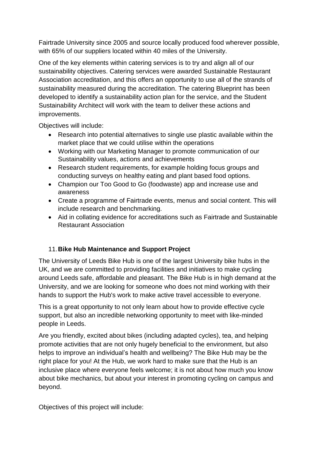Fairtrade University since 2005 and source locally produced food wherever possible, with 65% of our suppliers located within 40 miles of the University.

One of the key elements within catering services is to try and align all of our sustainability objectives. Catering services were awarded Sustainable Restaurant Association accreditation, and this offers an opportunity to use all of the strands of sustainability measured during the accreditation. The catering Blueprint has been developed to identify a sustainability action plan for the service, and the Student Sustainability Architect will work with the team to deliver these actions and improvements.

Objectives will include:

- Research into potential alternatives to single use plastic available within the market place that we could utilise within the operations
- Working with our Marketing Manager to promote communication of our Sustainability values, actions and achievements
- Research student requirements, for example holding focus groups and conducting surveys on healthy eating and plant based food options.
- Champion our Too Good to Go (foodwaste) app and increase use and awareness
- Create a programme of Fairtrade events, menus and social content. This will include research and benchmarking.
- Aid in collating evidence for accreditations such as Fairtrade and Sustainable Restaurant Association

## 11.**Bike Hub Maintenance and Support Project**

The University of Leeds Bike Hub is one of the largest University bike hubs in the UK, and we are committed to providing facilities and initiatives to make cycling around Leeds safe, affordable and pleasant. The Bike Hub is in high demand at the University, and we are looking for someone who does not mind working with their hands to support the Hub's work to make active travel accessible to everyone.

This is a great opportunity to not only learn about how to provide effective cycle support, but also an incredible networking opportunity to meet with like-minded people in Leeds.

Are you friendly, excited about bikes (including adapted cycles), tea, and helping promote activities that are not only hugely beneficial to the environment, but also helps to improve an individual's health and wellbeing? The Bike Hub may be the right place for you! At the Hub, we work hard to make sure that the Hub is an inclusive place where everyone feels welcome; it is not about how much you know about bike mechanics, but about your interest in promoting cycling on campus and beyond.

Objectives of this project will include: